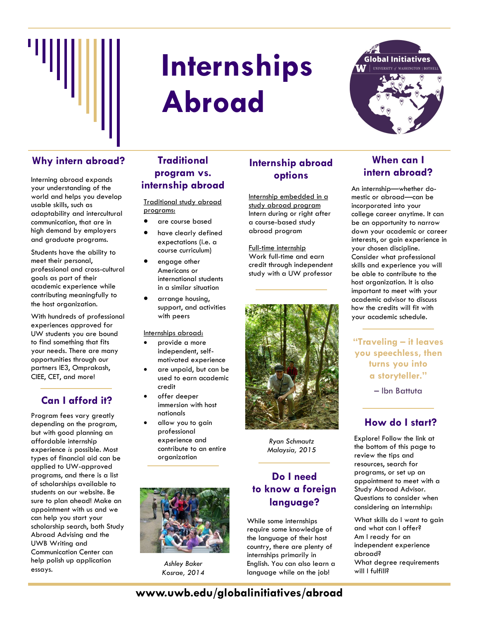

# **Internships Abroad**



## Why intern abroad? Traditional **Internship abroad** When can I

Interning abroad expands your understanding of the world and helps you develop usable skills, such as adaptability and intercultural communication, that are in high demand by employers and graduate programs.

Students have the ability to meet their personal, professional and cross-cultural goals as part of their academic experience while contributing meaningfully to the host organization.

With hundreds of professional experiences approved for UW students you are bound to find something that fits your needs. There are many opportunities through our partners IE3, Omprakash, CIEE, CET, and more!

## **Can I afford it?**

Program fees vary greatly depending on the program, but with good planning an affordable internship experience *is* possible. Most types of financial aid can be applied to UW-approved programs, and there is a list of scholarships available to students on our website. Be sure to plan ahead! Make an appointment with us and we can help you start your scholarship search, both Study Abroad Advising and the UWB Writing and Communication Center can help polish up application essays.

## **Traditional program vs. internship abroad**

Traditional study abroad programs:

- are course based
- have clearly defined expectations (i.e. a course curriculum)
- engage other Americans or international students in a similar situation
- arrange housing, support, and activities with peers

Internships abroad:

- provide a more independent, selfmotivated experience
- are unpaid, but can be used to earn academic credit
- offer deeper immersion with host nationals
- allow you to gain professional experience and contribute to an entire organization



*Ashley Baker Kosrae, 2014*

## **Internship abroad options**

Internship embedded in a study abroad program Intern during or right after a course-based study abroad program

Full-time internship Work full-time and earn credit through independent study with a UW professor



*Ryan Schmautz Malaysia, 2015*

## **Do I need to know a foreign language?**

While some internships require some knowledge of the language of their host country, there are plenty of internships primarily in English. You can also learn a language while on the job!

## **intern abroad?**

An internship—whether domestic or abroad—can be incorporated into your college career anytime. It can be an opportunity to narrow down your academic or career interests, or gain experience in your chosen discipline. Consider what professional skills and experience you will be able to contribute to the host organization. It is also important to meet with your academic advisor to discuss how the credits will fit with your academic schedule.

**"Traveling – it leaves you speechless, then turns you into a storyteller."** 

– Ibn Battuta

## **How do I start?**

Explore! Follow the link at the bottom of this page to review the tips and resources, search for programs, or set up an appointment to meet with a Study Abroad Advisor. Questions to consider when considering an internship:

What skills do I want to gain and what can I offer? Am I ready for an independent experience abroad? What degree requirements will I fulfill?

## **www.uwb.edu/globalinitiatives/abroad**